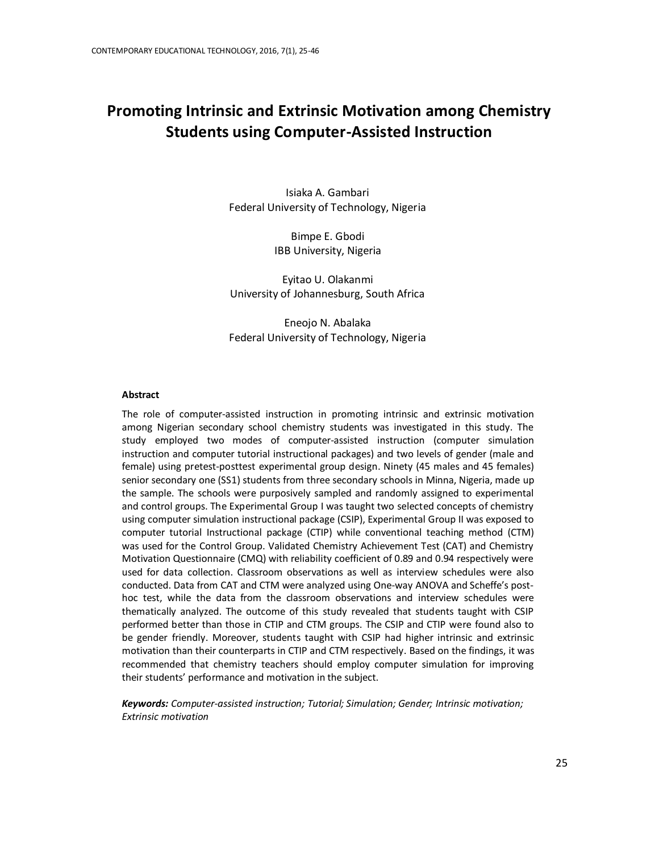# **Promoting Intrinsic and Extrinsic Motivation among Chemistry Students using Computer-Assisted Instruction**

Isiaka A. Gambari Federal University of Technology, Nigeria

> Bimpe E. Gbodi IBB University, Nigeria

Eyitao U. Olakanmi University of Johannesburg, South Africa

Eneojo N. Abalaka Federal University of Technology, Nigeria

#### **Abstract**

The role of computer-assisted instruction in promoting intrinsic and extrinsic motivation among Nigerian secondary school chemistry students was investigated in this study. The study employed two modes of computer-assisted instruction (computer simulation instruction and computer tutorial instructional packages) and two levels of gender (male and female) using pretest-posttest experimental group design. Ninety (45 males and 45 females) senior secondary one (SS1) students from three secondary schools in Minna, Nigeria, made up the sample. The schools were purposively sampled and randomly assigned to experimental and control groups. The Experimental Group I was taught two selected concepts of chemistry using computer simulation instructional package (CSIP), Experimental Group II was exposed to computer tutorial Instructional package (CTIP) while conventional teaching method (CTM) was used for the Control Group. Validated Chemistry Achievement Test (CAT) and Chemistry Motivation Questionnaire (CMQ) with reliability coefficient of 0.89 and 0.94 respectively were used for data collection. Classroom observations as well as interview schedules were also conducted. Data from CAT and CTM were analyzed using One-way ANOVA and Scheffe's posthoc test, while the data from the classroom observations and interview schedules were thematically analyzed. The outcome of this study revealed that students taught with CSIP performed better than those in CTIP and CTM groups. The CSIP and CTIP were found also to be gender friendly. Moreover, students taught with CSIP had higher intrinsic and extrinsic motivation than their counterparts in CTIP and CTM respectively. Based on the findings, it was recommended that chemistry teachers should employ computer simulation for improving their students' performance and motivation in the subject.

*Keywords: Computer-assisted instruction; Tutorial; Simulation; Gender; Intrinsic motivation; Extrinsic motivation*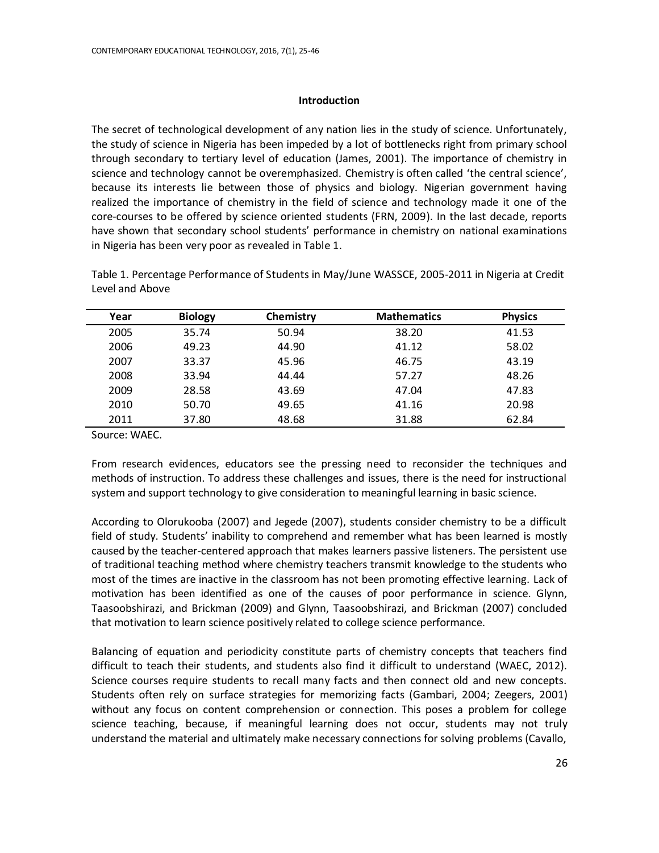# **Introduction**

The secret of technological development of any nation lies in the study of science. Unfortunately, the study of science in Nigeria has been impeded by a lot of bottlenecks right from primary school through secondary to tertiary level of education (James, 2001). The importance of chemistry in science and technology cannot be overemphasized. Chemistry is often called 'the central science', because its interests lie between those of physics and biology. Nigerian government having realized the importance of chemistry in the field of science and technology made it one of the core-courses to be offered by science oriented students (FRN, 2009). In the last decade, reports have shown that secondary school students' performance in chemistry on national examinations in Nigeria has been very poor as revealed in Table 1.

| Year | <b>Biology</b> | Chemistry | <b>Mathematics</b> | <b>Physics</b> |
|------|----------------|-----------|--------------------|----------------|
| 2005 | 35.74          | 50.94     | 38.20              | 41.53          |
| 2006 | 49.23          | 44.90     | 41.12              | 58.02          |
| 2007 | 33.37          | 45.96     | 46.75              | 43.19          |
| 2008 | 33.94          | 44.44     | 57.27              | 48.26          |
| 2009 | 28.58          | 43.69     | 47.04              | 47.83          |
| 2010 | 50.70          | 49.65     | 41.16              | 20.98          |
| 2011 | 37.80          | 48.68     | 31.88              | 62.84          |

Table 1. Percentage Performance of Students in May/June WASSCE, 2005-2011 in Nigeria at Credit Level and Above

Source: WAEC.

From research evidences, educators see the pressing need to reconsider the techniques and methods of instruction. To address these challenges and issues, there is the need for instructional system and support technology to give consideration to meaningful learning in basic science.

According to Olorukooba (2007) and Jegede (2007), students consider chemistry to be a difficult field of study. Students' inability to comprehend and remember what has been learned is mostly caused by the teacher-centered approach that makes learners passive listeners. The persistent use of traditional teaching method where chemistry teachers transmit knowledge to the students who most of the times are inactive in the classroom has not been promoting effective learning. Lack of motivation has been identified as one of the causes of poor performance in science. Glynn, Taasoobshirazi, and Brickman (2009) and Glynn, Taasoobshirazi, and Brickman (2007) concluded that motivation to learn science positively related to college science performance.

Balancing of equation and periodicity constitute parts of chemistry concepts that teachers find difficult to teach their students, and students also find it difficult to understand (WAEC, 2012). Science courses require students to recall many facts and then connect old and new concepts. Students often rely on surface strategies for memorizing facts (Gambari, 2004; Zeegers, 2001) without any focus on content comprehension or connection. This poses a problem for college science teaching, because, if meaningful learning does not occur, students may not truly understand the material and ultimately make necessary connections for solving problems (Cavallo,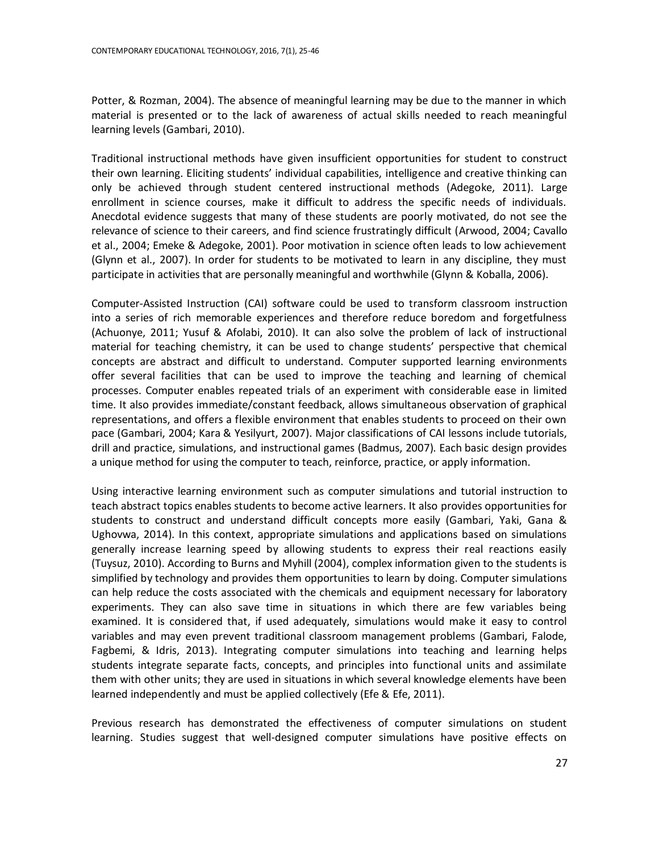Potter, & Rozman, 2004). The absence of meaningful learning may be due to the manner in which material is presented or to the lack of awareness of actual skills needed to reach meaningful learning levels (Gambari, 2010).

Traditional instructional methods have given insufficient opportunities for student to construct their own learning. Eliciting students' individual capabilities, intelligence and creative thinking can only be achieved through student centered instructional methods (Adegoke, 2011). Large enrollment in science courses, make it difficult to address the specific needs of individuals. Anecdotal evidence suggests that many of these students are poorly motivated, do not see the relevance of science to their careers, and find science frustratingly difficult (Arwood, 2004; Cavallo et al., 2004; Emeke & Adegoke, 2001). Poor motivation in science often leads to low achievement (Glynn et al., 2007). In order for students to be motivated to learn in any discipline, they must participate in activities that are personally meaningful and worthwhile (Glynn & Koballa, 2006).

Computer-Assisted Instruction (CAI) software could be used to transform classroom instruction into a series of rich memorable experiences and therefore reduce boredom and forgetfulness (Achuonye, 2011; Yusuf & Afolabi, 2010). It can also solve the problem of lack of instructional material for teaching chemistry, it can be used to change students' perspective that chemical concepts are abstract and difficult to understand. Computer supported learning environments offer several facilities that can be used to improve the teaching and learning of chemical processes. Computer enables repeated trials of an experiment with considerable ease in limited time. It also provides immediate/constant feedback, allows simultaneous observation of graphical representations, and offers a flexible environment that enables students to proceed on their own pace (Gambari, 2004; Kara & Yesilyurt, 2007). Major classifications of CAI lessons include tutorials, drill and practice, simulations, and instructional games (Badmus, 2007). Each basic design provides a unique method for using the computer to teach, reinforce, practice, or apply information.

Using interactive learning environment such as computer simulations and tutorial instruction to teach abstract topics enables students to become active learners. It also provides opportunities for students to construct and understand difficult concepts more easily (Gambari, Yaki, Gana & Ughovwa, 2014). In this context, appropriate simulations and applications based on simulations generally increase learning speed by allowing students to express their real reactions easily (Tuysuz, 2010). According to Burns and Myhill (2004), complex information given to the students is simplified by technology and provides them opportunities to learn by doing. Computer simulations can help reduce the costs associated with the chemicals and equipment necessary for laboratory experiments. They can also save time in situations in which there are few variables being examined. It is considered that, if used adequately, simulations would make it easy to control variables and may even prevent traditional classroom management problems (Gambari, Falode, Fagbemi, & Idris, 2013). Integrating computer simulations into teaching and learning helps students integrate separate facts, concepts, and principles into functional units and assimilate them with other units; they are used in situations in which several knowledge elements have been learned independently and must be applied collectively (Efe & Efe, 2011).

Previous research has demonstrated the effectiveness of computer simulations on student learning. Studies suggest that well-designed computer simulations have positive effects on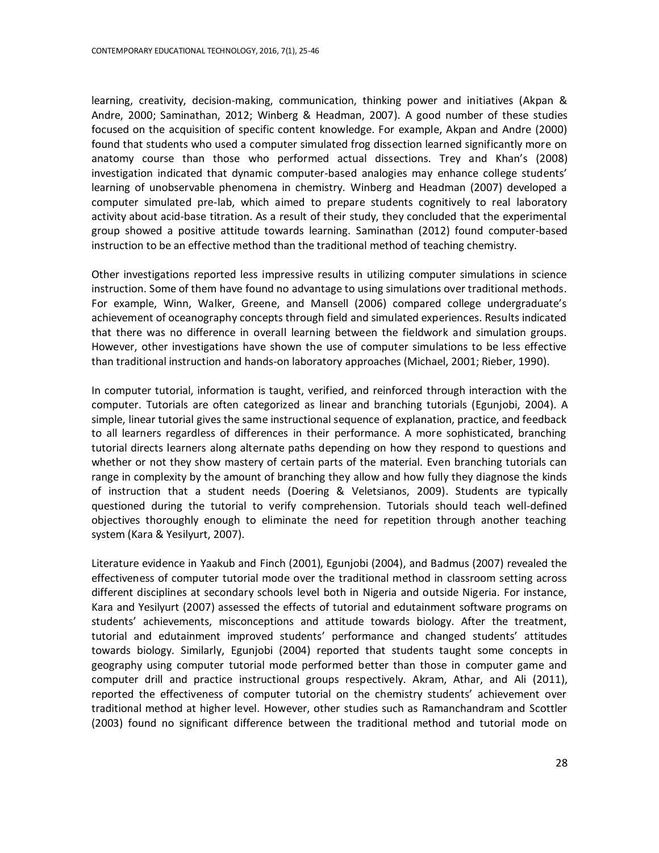learning, creativity, decision-making, communication, thinking power and initiatives (Akpan & Andre, 2000; Saminathan, 2012; Winberg & Headman, 2007). A good number of these studies focused on the acquisition of specific content knowledge. For example, Akpan and Andre (2000) found that students who used a computer simulated frog dissection learned significantly more on anatomy course than those who performed actual dissections. Trey and Khan's (2008) investigation indicated that dynamic computer-based analogies may enhance college students' learning of unobservable phenomena in chemistry. Winberg and Headman (2007) developed a computer simulated pre-lab, which aimed to prepare students cognitively to real laboratory activity about acid-base titration. As a result of their study, they concluded that the experimental group showed a positive attitude towards learning. Saminathan (2012) found computer-based instruction to be an effective method than the traditional method of teaching chemistry.

Other investigations reported less impressive results in utilizing computer simulations in science instruction. Some of them have found no advantage to using simulations over traditional methods. For example, Winn, Walker, Greene, and Mansell (2006) compared college undergraduate's achievement of oceanography concepts through field and simulated experiences. Results indicated that there was no difference in overall learning between the fieldwork and simulation groups. However, other investigations have shown the use of computer simulations to be less effective than traditional instruction and hands-on laboratory approaches (Michael, 2001; Rieber, 1990).

In computer tutorial, information is taught, verified, and reinforced through interaction with the computer. Tutorials are often categorized as linear and branching tutorials (Egunjobi, 2004). A simple, linear tutorial gives the same instructional sequence of explanation, practice, and feedback to all learners regardless of differences in their performance. A more sophisticated, branching tutorial directs learners along alternate paths depending on how they respond to questions and whether or not they show mastery of certain parts of the material. Even branching tutorials can range in complexity by the amount of branching they allow and how fully they diagnose the kinds of instruction that a student needs (Doering & Veletsianos, 2009). Students are typically questioned during the tutorial to verify comprehension. Tutorials should teach well-defined objectives thoroughly enough to eliminate the need for repetition through another teaching system (Kara & Yesilyurt, 2007).

Literature evidence in Yaakub and Finch (2001), Egunjobi (2004), and Badmus (2007) revealed the effectiveness of computer tutorial mode over the traditional method in classroom setting across different disciplines at secondary schools level both in Nigeria and outside Nigeria. For instance, Kara and Yesilyurt (2007) assessed the effects of tutorial and edutainment software programs on students' achievements, misconceptions and attitude towards biology. After the treatment, tutorial and edutainment improved students' performance and changed students' attitudes towards biology. Similarly, Egunjobi (2004) reported that students taught some concepts in geography using computer tutorial mode performed better than those in computer game and computer drill and practice instructional groups respectively. Akram, Athar, and Ali (2011), reported the effectiveness of computer tutorial on the chemistry students' achievement over traditional method at higher level. However, other studies such as Ramanchandram and Scottler (2003) found no significant difference between the traditional method and tutorial mode on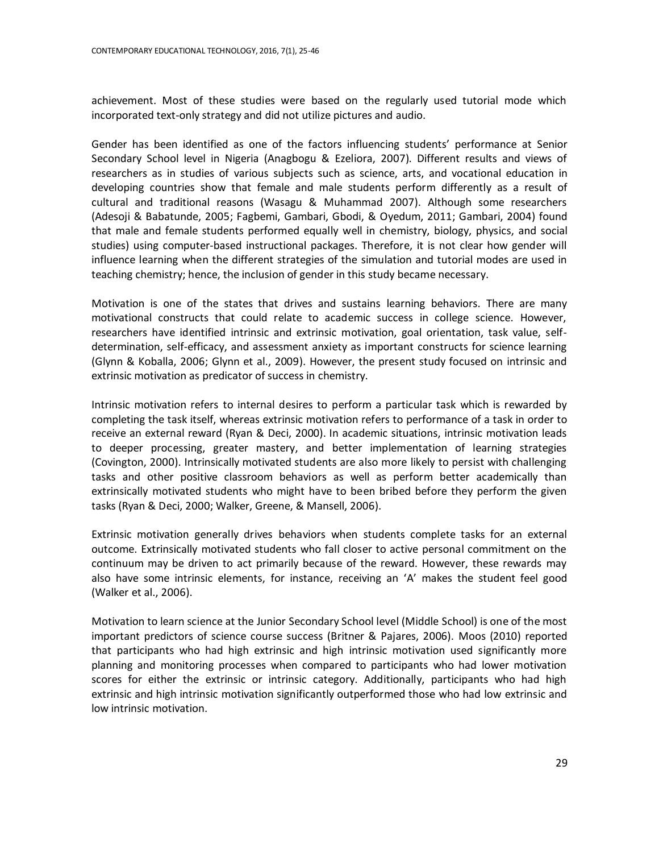achievement. Most of these studies were based on the regularly used tutorial mode which incorporated text-only strategy and did not utilize pictures and audio.

Gender has been identified as one of the factors influencing students' performance at Senior Secondary School level in Nigeria (Anagbogu & Ezeliora, 2007). Different results and views of researchers as in studies of various subjects such as science, arts, and vocational education in developing countries show that female and male students perform differently as a result of cultural and traditional reasons (Wasagu & Muhammad 2007). Although some researchers (Adesoji & Babatunde, 2005; Fagbemi, Gambari, Gbodi, & Oyedum, 2011; Gambari, 2004) found that male and female students performed equally well in chemistry, biology, physics, and social studies) using computer-based instructional packages. Therefore, it is not clear how gender will influence learning when the different strategies of the simulation and tutorial modes are used in teaching chemistry; hence, the inclusion of gender in this study became necessary.

Motivation is one of the states that drives and sustains learning behaviors. There are many motivational constructs that could relate to academic success in college science. However, researchers have identified intrinsic and extrinsic motivation, goal orientation, task value, selfdetermination, self-efficacy, and assessment anxiety as important constructs for science learning (Glynn & Koballa, 2006; Glynn et al., 2009). However, the present study focused on intrinsic and extrinsic motivation as predicator of success in chemistry.

Intrinsic motivation refers to internal desires to perform a particular task which is rewarded by completing the task itself, whereas extrinsic motivation refers to performance of a task in order to receive an external reward (Ryan & Deci, 2000). In academic situations, intrinsic motivation leads to deeper processing, greater mastery, and better implementation of learning strategies (Covington, 2000). Intrinsically motivated students are also more likely to persist with challenging tasks and other positive classroom behaviors as well as perform better academically than extrinsically motivated students who might have to been bribed before they perform the given tasks (Ryan & Deci, 2000; Walker, Greene, & Mansell, 2006).

Extrinsic motivation generally drives behaviors when students complete tasks for an external outcome. Extrinsically motivated students who fall closer to active personal commitment on the continuum may be driven to act primarily because of the reward. However, these rewards may also have some intrinsic elements, for instance, receiving an 'A' makes the student feel good (Walker et al., 2006).

Motivation to learn science at the Junior Secondary School level (Middle School) is one of the most important predictors of science course success (Britner & Pajares, 2006). Moos (2010) reported that participants who had high extrinsic and high intrinsic motivation used significantly more planning and monitoring processes when compared to participants who had lower motivation scores for either the extrinsic or intrinsic category. Additionally, participants who had high extrinsic and high intrinsic motivation significantly outperformed those who had low extrinsic and low intrinsic motivation.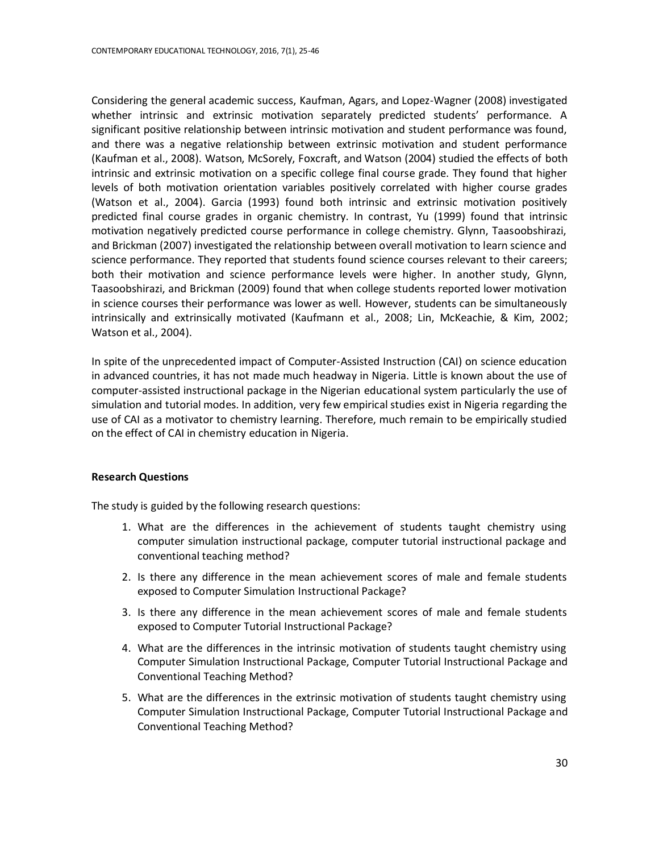Considering the general academic success, Kaufman, Agars, and Lopez-Wagner (2008) investigated whether intrinsic and extrinsic motivation separately predicted students' performance. A significant positive relationship between intrinsic motivation and student performance was found, and there was a negative relationship between extrinsic motivation and student performance (Kaufman et al., 2008). Watson, McSorely, Foxcraft, and Watson (2004) studied the effects of both intrinsic and extrinsic motivation on a specific college final course grade. They found that higher levels of both motivation orientation variables positively correlated with higher course grades (Watson et al., 2004). Garcia (1993) found both intrinsic and extrinsic motivation positively predicted final course grades in organic chemistry. In contrast, Yu (1999) found that intrinsic motivation negatively predicted course performance in college chemistry. Glynn, Taasoobshirazi, and Brickman (2007) investigated the relationship between overall motivation to learn science and science performance. They reported that students found science courses relevant to their careers; both their motivation and science performance levels were higher. In another study, Glynn, Taasoobshirazi, and Brickman (2009) found that when college students reported lower motivation in science courses their performance was lower as well. However, students can be simultaneously intrinsically and extrinsically motivated (Kaufmann et al., 2008; Lin, McKeachie, & Kim, 2002; Watson et al., 2004).

In spite of the unprecedented impact of Computer-Assisted Instruction (CAI) on science education in advanced countries, it has not made much headway in Nigeria. Little is known about the use of computer-assisted instructional package in the Nigerian educational system particularly the use of simulation and tutorial modes. In addition, very few empirical studies exist in Nigeria regarding the use of CAI as a motivator to chemistry learning. Therefore, much remain to be empirically studied on the effect of CAI in chemistry education in Nigeria.

# **Research Questions**

The study is guided by the following research questions:

- 1. What are the differences in the achievement of students taught chemistry using computer simulation instructional package, computer tutorial instructional package and conventional teaching method?
- 2. Is there any difference in the mean achievement scores of male and female students exposed to Computer Simulation Instructional Package?
- 3. Is there any difference in the mean achievement scores of male and female students exposed to Computer Tutorial Instructional Package?
- 4. What are the differences in the intrinsic motivation of students taught chemistry using Computer Simulation Instructional Package, Computer Tutorial Instructional Package and Conventional Teaching Method?
- 5. What are the differences in the extrinsic motivation of students taught chemistry using Computer Simulation Instructional Package, Computer Tutorial Instructional Package and Conventional Teaching Method?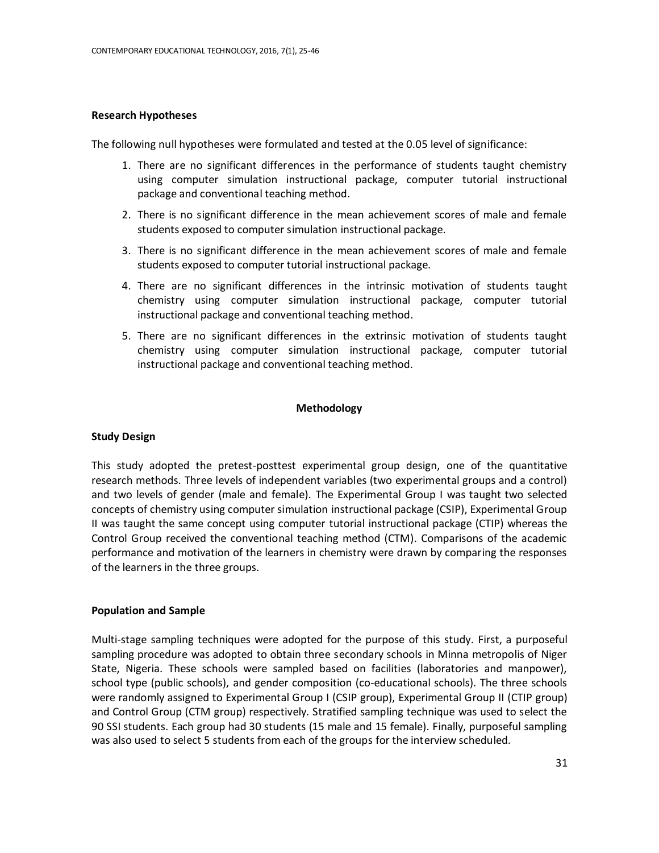## **Research Hypotheses**

The following null hypotheses were formulated and tested at the 0.05 level of significance:

- 1. There are no significant differences in the performance of students taught chemistry using computer simulation instructional package, computer tutorial instructional package and conventional teaching method.
- 2. There is no significant difference in the mean achievement scores of male and female students exposed to computer simulation instructional package.
- 3. There is no significant difference in the mean achievement scores of male and female students exposed to computer tutorial instructional package.
- 4. There are no significant differences in the intrinsic motivation of students taught chemistry using computer simulation instructional package, computer tutorial instructional package and conventional teaching method.
- 5. There are no significant differences in the extrinsic motivation of students taught chemistry using computer simulation instructional package, computer tutorial instructional package and conventional teaching method.

# **Methodology**

# **Study Design**

This study adopted the pretest-posttest experimental group design, one of the quantitative research methods. Three levels of independent variables (two experimental groups and a control) and two levels of gender (male and female). The Experimental Group I was taught two selected concepts of chemistry using computer simulation instructional package (CSIP), Experimental Group II was taught the same concept using computer tutorial instructional package (CTIP) whereas the Control Group received the conventional teaching method (CTM). Comparisons of the academic performance and motivation of the learners in chemistry were drawn by comparing the responses of the learners in the three groups.

#### **Population and Sample**

Multi-stage sampling techniques were adopted for the purpose of this study. First, a purposeful sampling procedure was adopted to obtain three secondary schools in Minna metropolis of Niger State, Nigeria. These schools were sampled based on facilities (laboratories and manpower), school type (public schools), and gender composition (co-educational schools). The three schools were randomly assigned to Experimental Group I (CSIP group), Experimental Group II (CTIP group) and Control Group (CTM group) respectively. Stratified sampling technique was used to select the 90 SSI students. Each group had 30 students (15 male and 15 female). Finally, purposeful sampling was also used to select 5 students from each of the groups for the interview scheduled.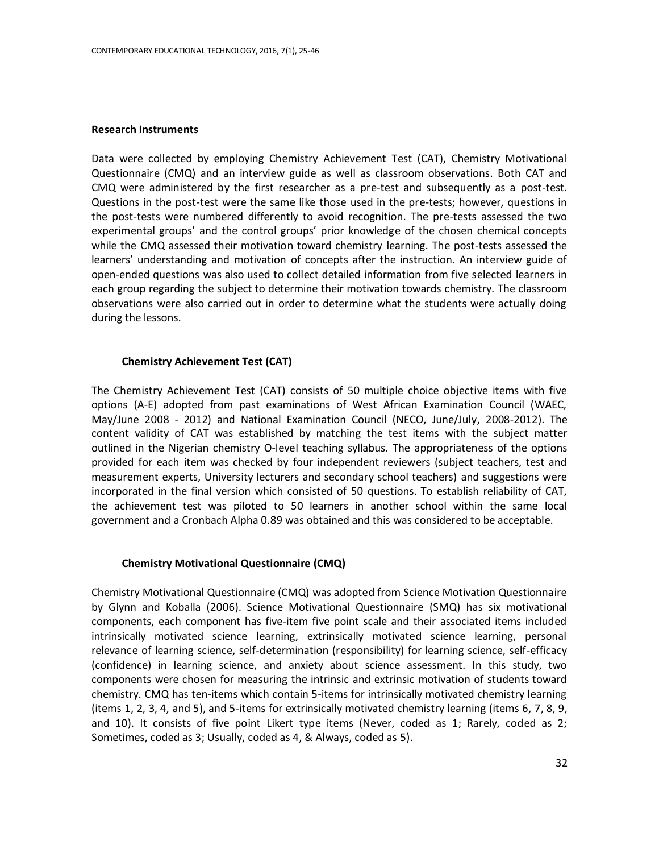## **Research Instruments**

Data were collected by employing Chemistry Achievement Test (CAT), Chemistry Motivational Questionnaire (CMQ) and an interview guide as well as classroom observations. Both CAT and CMQ were administered by the first researcher as a pre-test and subsequently as a post-test. Questions in the post-test were the same like those used in the pre-tests; however, questions in the post-tests were numbered differently to avoid recognition. The pre-tests assessed the two experimental groups' and the control groups' prior knowledge of the chosen chemical concepts while the CMQ assessed their motivation toward chemistry learning. The post-tests assessed the learners' understanding and motivation of concepts after the instruction. An interview guide of open-ended questions was also used to collect detailed information from five selected learners in each group regarding the subject to determine their motivation towards chemistry. The classroom observations were also carried out in order to determine what the students were actually doing during the lessons.

## **Chemistry Achievement Test (CAT)**

The Chemistry Achievement Test (CAT) consists of 50 multiple choice objective items with five options (A-E) adopted from past examinations of West African Examination Council (WAEC, May/June 2008 - 2012) and National Examination Council (NECO, June/July, 2008-2012). The content validity of CAT was established by matching the test items with the subject matter outlined in the Nigerian chemistry O-level teaching syllabus. The appropriateness of the options provided for each item was checked by four independent reviewers (subject teachers, test and measurement experts, University lecturers and secondary school teachers) and suggestions were incorporated in the final version which consisted of 50 questions. To establish reliability of CAT, the achievement test was piloted to 50 learners in another school within the same local government and a Cronbach Alpha 0.89 was obtained and this was considered to be acceptable.

#### **Chemistry Motivational Questionnaire (CMQ)**

Chemistry Motivational Questionnaire (CMQ) was adopted from Science Motivation Questionnaire by Glynn and Koballa (2006). Science Motivational Questionnaire (SMQ) has six motivational components, each component has five-item five point scale and their associated items included intrinsically motivated science learning, extrinsically motivated science learning, personal relevance of learning science, self-determination (responsibility) for learning science, self-efficacy (confidence) in learning science, and anxiety about science assessment. In this study, two components were chosen for measuring the intrinsic and extrinsic motivation of students toward chemistry. CMQ has ten-items which contain 5-items for intrinsically motivated chemistry learning (items 1, 2, 3, 4, and 5), and 5-items for extrinsically motivated chemistry learning (items 6, 7, 8, 9, and 10). It consists of five point Likert type items (Never, coded as 1; Rarely, coded as 2; Sometimes, coded as 3; Usually, coded as 4, & Always, coded as 5).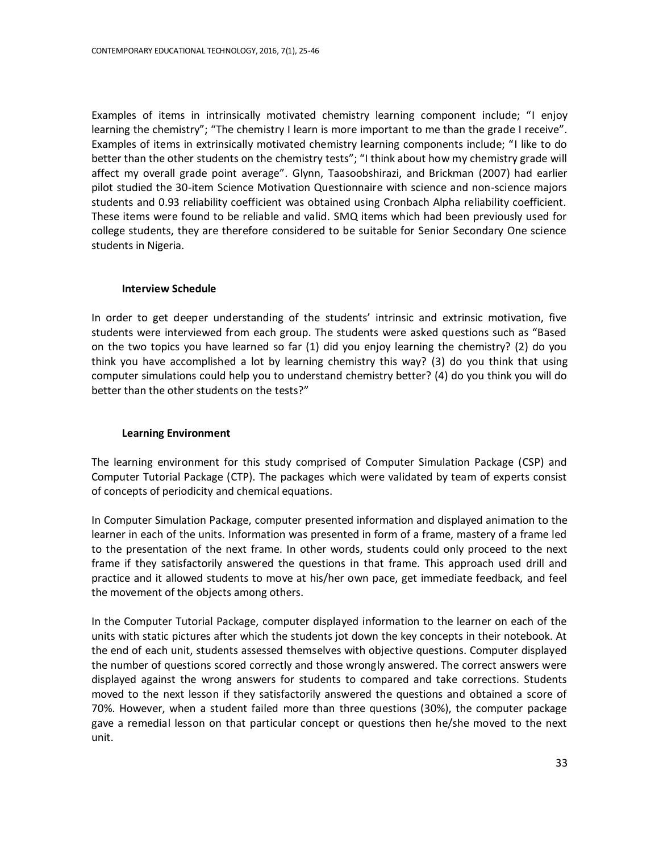Examples of items in intrinsically motivated chemistry learning component include; "I enjoy learning the chemistry"; "The chemistry I learn is more important to me than the grade I receive". Examples of items in extrinsically motivated chemistry learning components include; "I like to do better than the other students on the chemistry tests"; "I think about how my chemistry grade will affect my overall grade point average". Glynn, Taasoobshirazi, and Brickman (2007) had earlier pilot studied the 30-item Science Motivation Questionnaire with science and non-science majors students and 0.93 reliability coefficient was obtained using Cronbach Alpha reliability coefficient. These items were found to be reliable and valid. SMQ items which had been previously used for college students, they are therefore considered to be suitable for Senior Secondary One science students in Nigeria.

# **Interview Schedule**

In order to get deeper understanding of the students' intrinsic and extrinsic motivation, five students were interviewed from each group. The students were asked questions such as "Based on the two topics you have learned so far (1) did you enjoy learning the chemistry? (2) do you think you have accomplished a lot by learning chemistry this way? (3) do you think that using computer simulations could help you to understand chemistry better? (4) do you think you will do better than the other students on the tests?"

# **Learning Environment**

The learning environment for this study comprised of Computer Simulation Package (CSP) and Computer Tutorial Package (CTP). The packages which were validated by team of experts consist of concepts of periodicity and chemical equations.

In Computer Simulation Package, computer presented information and displayed animation to the learner in each of the units. Information was presented in form of a frame, mastery of a frame led to the presentation of the next frame. In other words, students could only proceed to the next frame if they satisfactorily answered the questions in that frame. This approach used drill and practice and it allowed students to move at his/her own pace, get immediate feedback, and feel the movement of the objects among others.

In the Computer Tutorial Package, computer displayed information to the learner on each of the units with static pictures after which the students jot down the key concepts in their notebook. At the end of each unit, students assessed themselves with objective questions. Computer displayed the number of questions scored correctly and those wrongly answered. The correct answers were displayed against the wrong answers for students to compared and take corrections. Students moved to the next lesson if they satisfactorily answered the questions and obtained a score of 70%. However, when a student failed more than three questions (30%), the computer package gave a remedial lesson on that particular concept or questions then he/she moved to the next unit.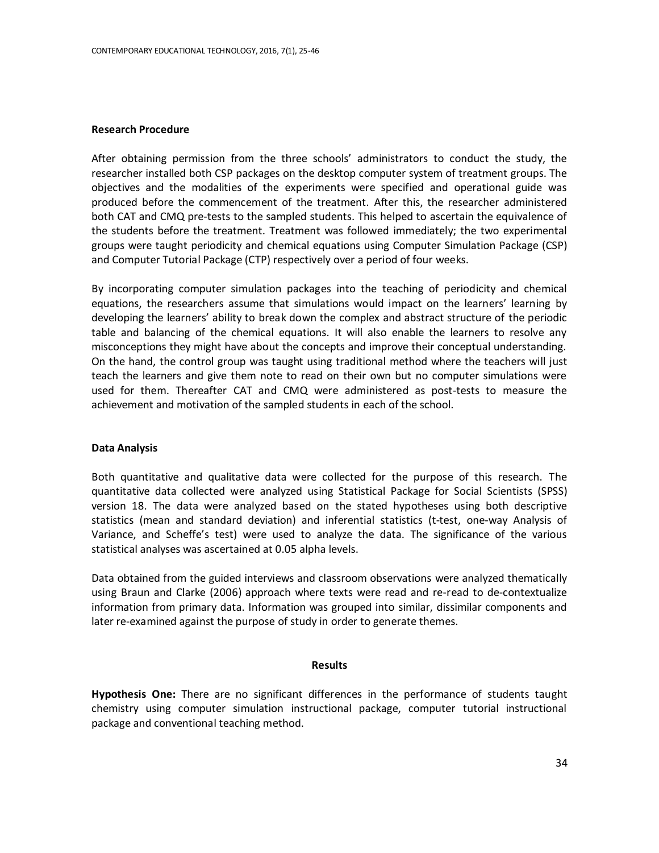## **Research Procedure**

After obtaining permission from the three schools' administrators to conduct the study, the researcher installed both CSP packages on the desktop computer system of treatment groups. The objectives and the modalities of the experiments were specified and operational guide was produced before the commencement of the treatment. After this, the researcher administered both CAT and CMQ pre-tests to the sampled students. This helped to ascertain the equivalence of the students before the treatment. Treatment was followed immediately; the two experimental groups were taught periodicity and chemical equations using Computer Simulation Package (CSP) and Computer Tutorial Package (CTP) respectively over a period of four weeks.

By incorporating computer simulation packages into the teaching of periodicity and chemical equations, the researchers assume that simulations would impact on the learners' learning by developing the learners' ability to break down the complex and abstract structure of the periodic table and balancing of the chemical equations. It will also enable the learners to resolve any misconceptions they might have about the concepts and improve their conceptual understanding. On the hand, the control group was taught using traditional method where the teachers will just teach the learners and give them note to read on their own but no computer simulations were used for them. Thereafter CAT and CMQ were administered as post-tests to measure the achievement and motivation of the sampled students in each of the school.

#### **Data Analysis**

Both quantitative and qualitative data were collected for the purpose of this research. The quantitative data collected were analyzed using Statistical Package for Social Scientists (SPSS) version 18. The data were analyzed based on the stated hypotheses using both descriptive statistics (mean and standard deviation) and inferential statistics (t-test, one-way Analysis of Variance, and Scheffe's test) were used to analyze the data. The significance of the various statistical analyses was ascertained at 0.05 alpha levels.

Data obtained from the guided interviews and classroom observations were analyzed thematically using Braun and Clarke (2006) approach where texts were read and re-read to de-contextualize information from primary data. Information was grouped into similar, dissimilar components and later re-examined against the purpose of study in order to generate themes.

#### **Results**

**Hypothesis One:** There are no significant differences in the performance of students taught chemistry using computer simulation instructional package, computer tutorial instructional package and conventional teaching method.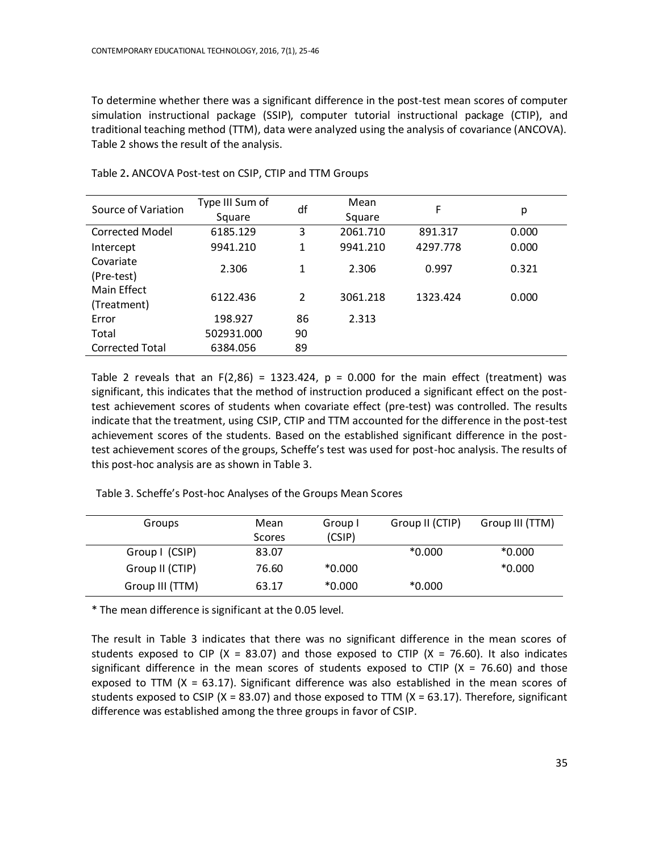To determine whether there was a significant difference in the post-test mean scores of computer simulation instructional package (SSIP), computer tutorial instructional package (CTIP), and traditional teaching method (TTM), data were analyzed using the analysis of covariance (ANCOVA). Table 2 shows the result of the analysis.

| Source of Variation    | Type III Sum of | df | Mean     | F        | р     |
|------------------------|-----------------|----|----------|----------|-------|
|                        | Square          |    | Square   |          |       |
| <b>Corrected Model</b> | 6185.129        | 3  | 2061.710 | 891.317  | 0.000 |
| Intercept              | 9941.210        | 1  | 9941.210 | 4297.778 | 0.000 |
| Covariate              | 2.306           | 1  | 2.306    | 0.997    | 0.321 |
| (Pre-test)             |                 |    |          |          |       |
| Main Effect            | 6122.436        | 2  | 3061.218 | 1323.424 | 0.000 |
| (Treatment)            |                 |    |          |          |       |
| Error                  | 198.927         | 86 | 2.313    |          |       |
| Total                  | 502931.000      | 90 |          |          |       |
| <b>Corrected Total</b> | 6384.056        | 89 |          |          |       |
|                        |                 |    |          |          |       |

Table 2**.** ANCOVA Post-test on CSIP, CTIP and TTM Groups

Table 2 reveals that an  $F(2,86) = 1323.424$ ,  $p = 0.000$  for the main effect (treatment) was significant, this indicates that the method of instruction produced a significant effect on the posttest achievement scores of students when covariate effect (pre-test) was controlled. The results indicate that the treatment, using CSIP, CTIP and TTM accounted for the difference in the post-test achievement scores of the students. Based on the established significant difference in the posttest achievement scores of the groups, Scheffe's test was used for post-hoc analysis. The results of this post-hoc analysis are as shown in Table 3.

Table 3. Scheffe's Post-hoc Analyses of the Groups Mean Scores

| Groups          | Mean   | Group I  | Group II (CTIP) | Group III (TTM) |
|-----------------|--------|----------|-----------------|-----------------|
|                 | Scores | (CSIP)   |                 |                 |
| Group I (CSIP)  | 83.07  |          | $*0.000$        | $*0.000$        |
| Group II (CTIP) | 76.60  | $*0.000$ |                 | $*0.000$        |
| Group III (TTM) | 63.17  | $*0.000$ | $*0.000$        |                 |

\* The mean difference is significant at the 0.05 level.

The result in Table 3 indicates that there was no significant difference in the mean scores of students exposed to CIP (X = 83.07) and those exposed to CTIP (X = 76.60). It also indicates significant difference in the mean scores of students exposed to CTIP ( $X = 76.60$ ) and those exposed to TTM ( $X = 63.17$ ). Significant difference was also established in the mean scores of students exposed to CSIP ( $X = 83.07$ ) and those exposed to TTM ( $X = 63.17$ ). Therefore, significant difference was established among the three groups in favor of CSIP.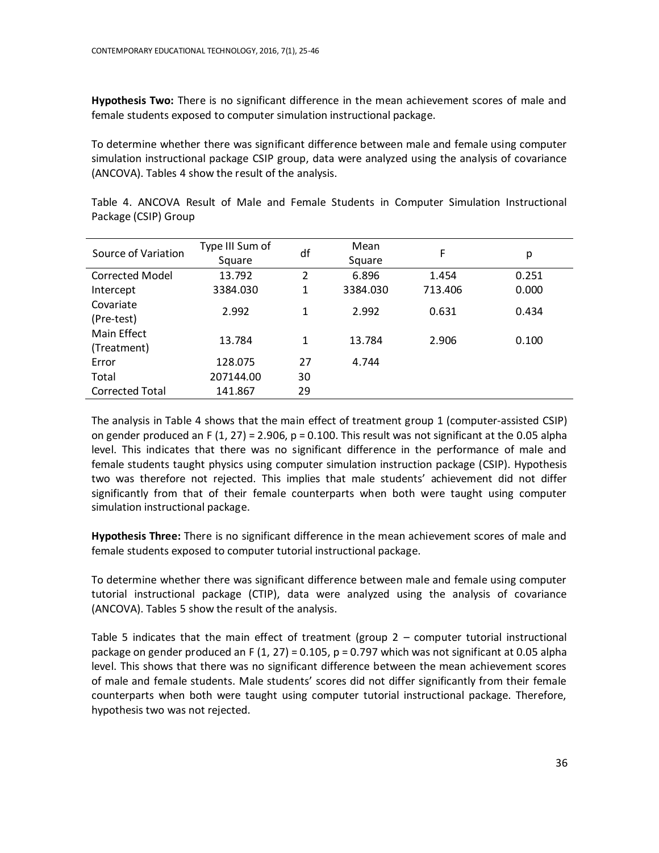**Hypothesis Two:** There is no significant difference in the mean achievement scores of male and female students exposed to computer simulation instructional package.

To determine whether there was significant difference between male and female using computer simulation instructional package CSIP group, data were analyzed using the analysis of covariance (ANCOVA). Tables 4 show the result of the analysis.

| Source of Variation        | Type III Sum of<br>Square | df | Mean<br>Square | F.      | p     |
|----------------------------|---------------------------|----|----------------|---------|-------|
| Corrected Model            | 13.792                    | 2  | 6.896          | 1.454   | 0.251 |
| Intercept                  | 3384.030                  | 1  | 3384.030       | 713.406 | 0.000 |
| Covariate<br>(Pre-test)    | 2.992                     | 1  | 2.992          | 0.631   | 0.434 |
| Main Effect<br>(Treatment) | 13.784                    | 1  | 13.784         | 2.906   | 0.100 |
| Error                      | 128.075                   | 27 | 4.744          |         |       |
| Total                      | 207144.00                 | 30 |                |         |       |
| <b>Corrected Total</b>     | 141.867                   | 29 |                |         |       |

Table 4. ANCOVA Result of Male and Female Students in Computer Simulation Instructional Package (CSIP) Group

The analysis in Table 4 shows that the main effect of treatment group 1 (computer-assisted CSIP) on gender produced an F (1, 27) = 2.906,  $p = 0.100$ . This result was not significant at the 0.05 alpha level. This indicates that there was no significant difference in the performance of male and female students taught physics using computer simulation instruction package (CSIP). Hypothesis two was therefore not rejected. This implies that male students' achievement did not differ significantly from that of their female counterparts when both were taught using computer simulation instructional package.

**Hypothesis Three:** There is no significant difference in the mean achievement scores of male and female students exposed to computer tutorial instructional package.

To determine whether there was significant difference between male and female using computer tutorial instructional package (CTIP), data were analyzed using the analysis of covariance (ANCOVA). Tables 5 show the result of the analysis.

Table 5 indicates that the main effect of treatment (group  $2$  – computer tutorial instructional package on gender produced an F (1, 27) = 0.105,  $p = 0.797$  which was not significant at 0.05 alpha level. This shows that there was no significant difference between the mean achievement scores of male and female students. Male students' scores did not differ significantly from their female counterparts when both were taught using computer tutorial instructional package. Therefore, hypothesis two was not rejected.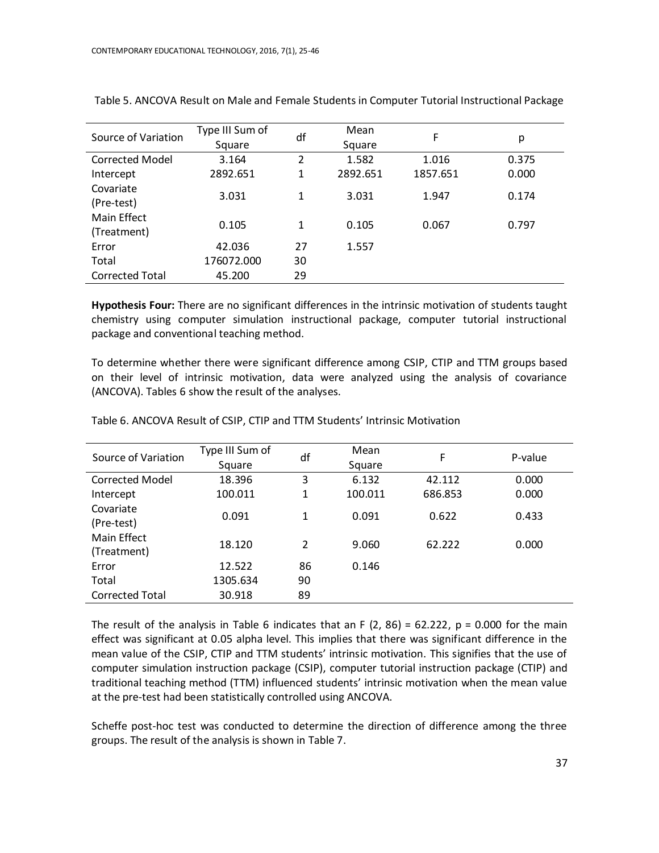| Source of Variation    | Type III Sum of | df | Mean     | F        | р     |
|------------------------|-----------------|----|----------|----------|-------|
|                        | Square          |    | Square   |          |       |
| <b>Corrected Model</b> | 3.164           | 2  | 1.582    | 1.016    | 0.375 |
| Intercept              | 2892.651        | 1  | 2892.651 | 1857.651 | 0.000 |
| Covariate              | 3.031           | 1  | 3.031    | 1.947    | 0.174 |
| (Pre-test)             |                 |    |          |          |       |
| <b>Main Effect</b>     | 0.105           | 1  | 0.105    | 0.067    | 0.797 |
| (Treatment)            |                 |    |          |          |       |
| Error                  | 42.036          | 27 | 1.557    |          |       |
| Total                  | 176072.000      | 30 |          |          |       |
| <b>Corrected Total</b> | 45.200          | 29 |          |          |       |

Table 5. ANCOVA Result on Male and Female Students in Computer Tutorial Instructional Package

**Hypothesis Four:** There are no significant differences in the intrinsic motivation of students taught chemistry using computer simulation instructional package, computer tutorial instructional package and conventional teaching method.

To determine whether there were significant difference among CSIP, CTIP and TTM groups based on their level of intrinsic motivation, data were analyzed using the analysis of covariance (ANCOVA). Tables 6 show the result of the analyses.

| Type III Sum of |                 | Mean         | F              | P-value         |
|-----------------|-----------------|--------------|----------------|-----------------|
| Square          |                 | Square       |                |                 |
| 18.396          | 3               | 6.132        | 42.112         | 0.000           |
| 100.011         | $\mathbf{1}$    | 100.011      | 686.853        | 0.000           |
|                 |                 |              |                | 0.433           |
|                 |                 |              |                |                 |
|                 |                 |              |                | 0.000           |
|                 |                 |              |                |                 |
| 12.522          | 86              | 0.146        |                |                 |
| 1305.634        | 90              |              |                |                 |
| 30.918          | 89              |              |                |                 |
|                 | 0.091<br>18.120 | df<br>1<br>2 | 0.091<br>9.060 | 0.622<br>62.222 |

Table 6. ANCOVA Result of CSIP, CTIP and TTM Students' Intrinsic Motivation

The result of the analysis in Table 6 indicates that an F  $(2, 86) = 62.222$ , p = 0.000 for the main effect was significant at 0.05 alpha level. This implies that there was significant difference in the mean value of the CSIP, CTIP and TTM students' intrinsic motivation. This signifies that the use of computer simulation instruction package (CSIP), computer tutorial instruction package (CTIP) and traditional teaching method (TTM) influenced students' intrinsic motivation when the mean value at the pre-test had been statistically controlled using ANCOVA.

Scheffe post-hoc test was conducted to determine the direction of difference among the three groups. The result of the analysis is shown in Table 7.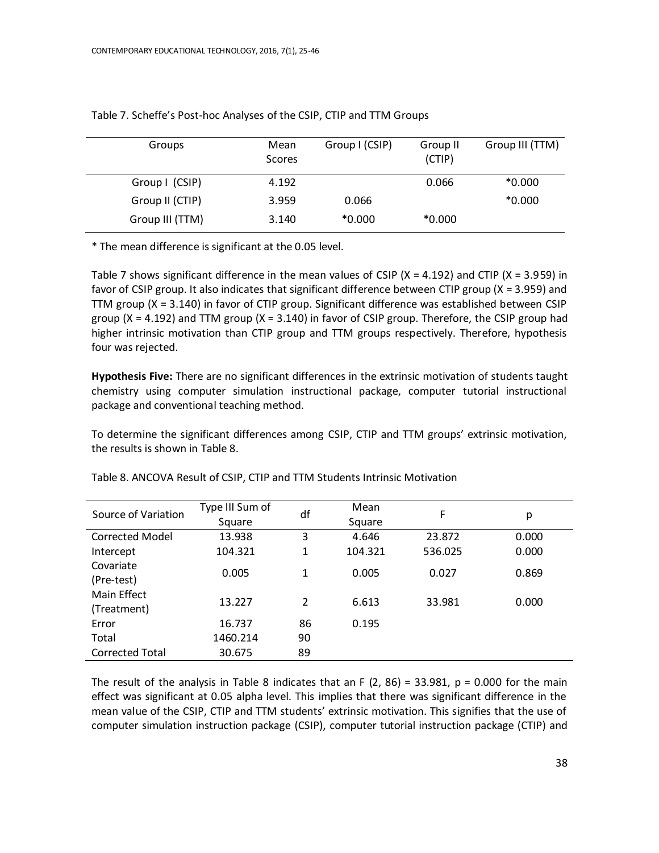| Groups          | Mean<br>Scores | Group I (CSIP) | Group II<br>(CTIP) | Group III (TTM) |
|-----------------|----------------|----------------|--------------------|-----------------|
| Group I (CSIP)  | 4.192          |                | 0.066              | $*0.000$        |
| Group II (CTIP) | 3.959          | 0.066          |                    | $*0.000$        |
| Group III (TTM) | 3.140          | $*0.000$       | $*0.000$           |                 |

Table 7. Scheffe's Post-hoc Analyses of the CSIP, CTIP and TTM Groups

\* The mean difference is significant at the 0.05 level.

Table 7 shows significant difference in the mean values of CSIP ( $X = 4.192$ ) and CTIP ( $X = 3.959$ ) in favor of CSIP group. It also indicates that significant difference between CTIP group (X = 3.959) and TTM group (X = 3.140) in favor of CTIP group. Significant difference was established between CSIP group ( $X = 4.192$ ) and TTM group ( $X = 3.140$ ) in favor of CSIP group. Therefore, the CSIP group had higher intrinsic motivation than CTIP group and TTM groups respectively. Therefore, hypothesis four was rejected.

**Hypothesis Five:** There are no significant differences in the extrinsic motivation of students taught chemistry using computer simulation instructional package, computer tutorial instructional package and conventional teaching method.

To determine the significant differences among CSIP, CTIP and TTM groups' extrinsic motivation, the results is shown in Table 8.

| Source of Variation    | Type III Sum of | df | Mean    | F       |       |
|------------------------|-----------------|----|---------|---------|-------|
|                        | Square          |    | Square  |         | р     |
| Corrected Model        | 13.938          | 3  | 4.646   | 23.872  | 0.000 |
| Intercept              | 104.321         | 1  | 104.321 | 536.025 | 0.000 |
| Covariate              |                 | 1  | 0.005   | 0.027   | 0.869 |
| (Pre-test)             | 0.005           |    |         |         |       |
| Main Effect            | 13.227          | 2  | 6.613   | 33.981  | 0.000 |
| (Treatment)            |                 |    |         |         |       |
| Error                  | 16.737          | 86 | 0.195   |         |       |
| Total                  | 1460.214        | 90 |         |         |       |
| <b>Corrected Total</b> | 30.675          | 89 |         |         |       |
|                        |                 |    |         |         |       |

Table 8. ANCOVA Result of CSIP, CTIP and TTM Students Intrinsic Motivation

The result of the analysis in Table 8 indicates that an F  $(2, 86) = 33.981$ ,  $p = 0.000$  for the main effect was significant at 0.05 alpha level. This implies that there was significant difference in the mean value of the CSIP, CTIP and TTM students' extrinsic motivation. This signifies that the use of computer simulation instruction package (CSIP), computer tutorial instruction package (CTIP) and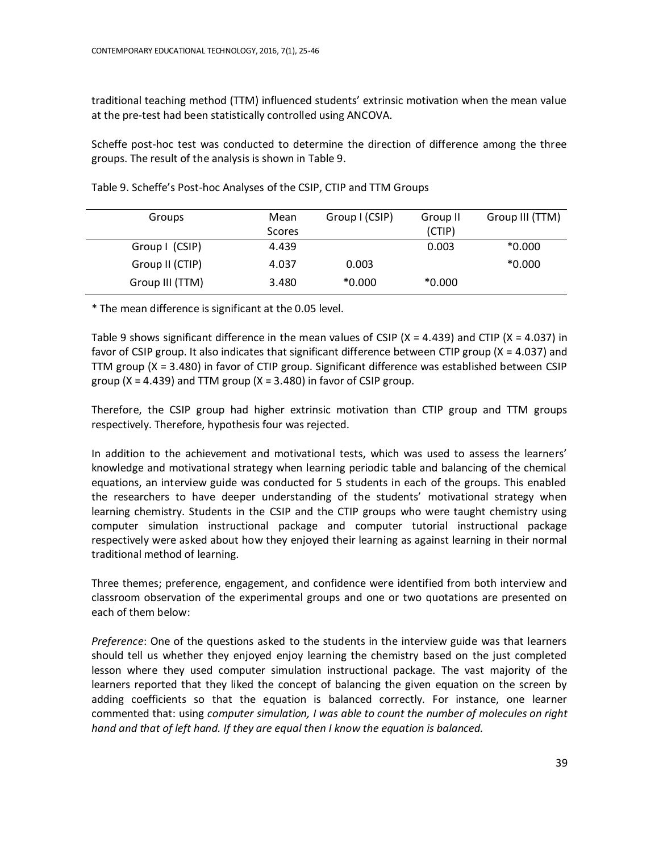traditional teaching method (TTM) influenced students' extrinsic motivation when the mean value at the pre-test had been statistically controlled using ANCOVA.

Scheffe post-hoc test was conducted to determine the direction of difference among the three groups. The result of the analysis is shown in Table 9.

| Groups          | Mean<br>Scores | Group I (CSIP) | Group II<br>(CTIP) | Group III (TTM) |
|-----------------|----------------|----------------|--------------------|-----------------|
| Group I (CSIP)  | 4.439          |                | 0.003              | $*0.000$        |
| Group II (CTIP) | 4.037          | 0.003          |                    | $*0.000$        |
| Group III (TTM) | 3.480          | $*0.000$       | $*0.000$           |                 |

Table 9. Scheffe's Post-hoc Analyses of the CSIP, CTIP and TTM Groups

\* The mean difference is significant at the 0.05 level.

Table 9 shows significant difference in the mean values of CSIP ( $X = 4.439$ ) and CTIP ( $X = 4.037$ ) in favor of CSIP group. It also indicates that significant difference between CTIP group (X = 4.037) and TTM group (X = 3.480) in favor of CTIP group. Significant difference was established between CSIP group ( $X = 4.439$ ) and TTM group ( $X = 3.480$ ) in favor of CSIP group.

Therefore, the CSIP group had higher extrinsic motivation than CTIP group and TTM groups respectively. Therefore, hypothesis four was rejected.

In addition to the achievement and motivational tests, which was used to assess the learners' knowledge and motivational strategy when learning periodic table and balancing of the chemical equations, an interview guide was conducted for 5 students in each of the groups. This enabled the researchers to have deeper understanding of the students' motivational strategy when learning chemistry. Students in the CSIP and the CTIP groups who were taught chemistry using computer simulation instructional package and computer tutorial instructional package respectively were asked about how they enjoyed their learning as against learning in their normal traditional method of learning.

Three themes; preference, engagement, and confidence were identified from both interview and classroom observation of the experimental groups and one or two quotations are presented on each of them below:

*Preference*: One of the questions asked to the students in the interview guide was that learners should tell us whether they enjoyed enjoy learning the chemistry based on the just completed lesson where they used computer simulation instructional package. The vast majority of the learners reported that they liked the concept of balancing the given equation on the screen by adding coefficients so that the equation is balanced correctly. For instance, one learner commented that: using *computer simulation, I was able to count the number of molecules on right hand and that of left hand. If they are equal then I know the equation is balanced.*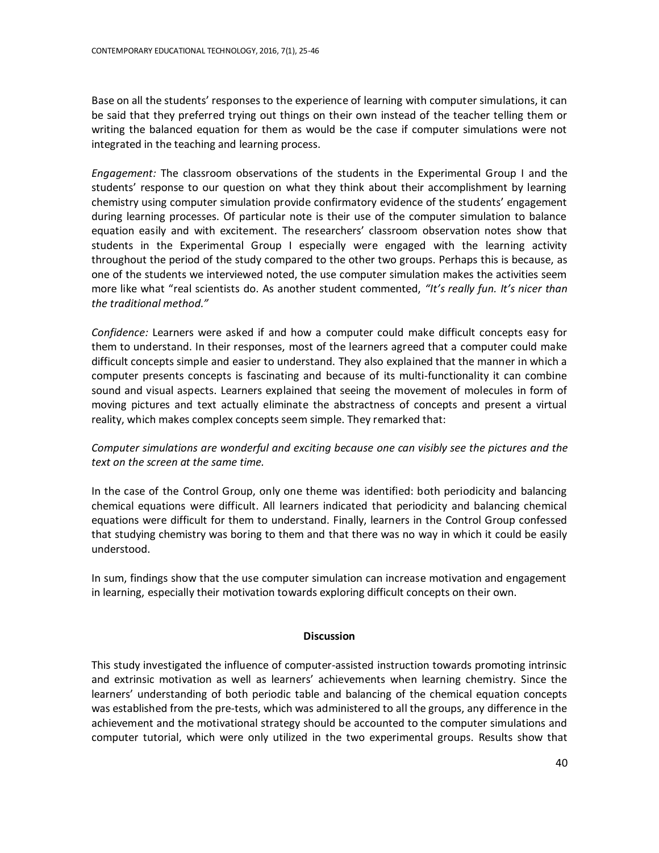Base on all the students' responses to the experience of learning with computer simulations, it can be said that they preferred trying out things on their own instead of the teacher telling them or writing the balanced equation for them as would be the case if computer simulations were not integrated in the teaching and learning process.

*Engagement:* The classroom observations of the students in the Experimental Group I and the students' response to our question on what they think about their accomplishment by learning chemistry using computer simulation provide confirmatory evidence of the students' engagement during learning processes. Of particular note is their use of the computer simulation to balance equation easily and with excitement. The researchers' classroom observation notes show that students in the Experimental Group I especially were engaged with the learning activity throughout the period of the study compared to the other two groups. Perhaps this is because, as one of the students we interviewed noted, the use computer simulation makes the activities seem more like what "real scientists do. As another student commented, *"It's really fun. It's nicer than the traditional method."*

*Confidence:* Learners were asked if and how a computer could make difficult concepts easy for them to understand. In their responses, most of the learners agreed that a computer could make difficult concepts simple and easier to understand. They also explained that the manner in which a computer presents concepts is fascinating and because of its multi-functionality it can combine sound and visual aspects. Learners explained that seeing the movement of molecules in form of moving pictures and text actually eliminate the abstractness of concepts and present a virtual reality, which makes complex concepts seem simple. They remarked that:

# *Computer simulations are wonderful and exciting because one can visibly see the pictures and the text on the screen at the same time.*

In the case of the Control Group, only one theme was identified: both periodicity and balancing chemical equations were difficult. All learners indicated that periodicity and balancing chemical equations were difficult for them to understand. Finally, learners in the Control Group confessed that studying chemistry was boring to them and that there was no way in which it could be easily understood.

In sum, findings show that the use computer simulation can increase motivation and engagement in learning, especially their motivation towards exploring difficult concepts on their own.

# **Discussion**

This study investigated the influence of computer-assisted instruction towards promoting intrinsic and extrinsic motivation as well as learners' achievements when learning chemistry. Since the learners' understanding of both periodic table and balancing of the chemical equation concepts was established from the pre-tests, which was administered to all the groups, any difference in the achievement and the motivational strategy should be accounted to the computer simulations and computer tutorial, which were only utilized in the two experimental groups. Results show that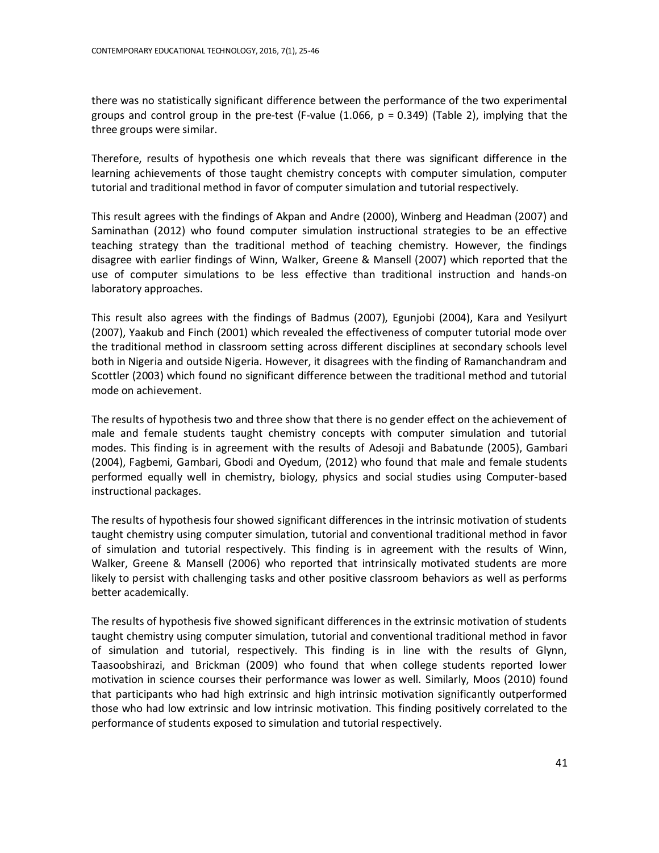there was no statistically significant difference between the performance of the two experimental groups and control group in the pre-test (F-value (1.066,  $p = 0.349$ ) (Table 2), implying that the three groups were similar.

Therefore, results of hypothesis one which reveals that there was significant difference in the learning achievements of those taught chemistry concepts with computer simulation, computer tutorial and traditional method in favor of computer simulation and tutorial respectively.

This result agrees with the findings of Akpan and Andre (2000), Winberg and Headman (2007) and Saminathan (2012) who found computer simulation instructional strategies to be an effective teaching strategy than the traditional method of teaching chemistry. However, the findings disagree with earlier findings of Winn, Walker, Greene & Mansell (2007) which reported that the use of computer simulations to be less effective than traditional instruction and hands-on laboratory approaches.

This result also agrees with the findings of Badmus (2007), Egunjobi (2004), Kara and Yesilyurt (2007), Yaakub and Finch (2001) which revealed the effectiveness of computer tutorial mode over the traditional method in classroom setting across different disciplines at secondary schools level both in Nigeria and outside Nigeria. However, it disagrees with the finding of Ramanchandram and Scottler (2003) which found no significant difference between the traditional method and tutorial mode on achievement.

The results of hypothesis two and three show that there is no gender effect on the achievement of male and female students taught chemistry concepts with computer simulation and tutorial modes. This finding is in agreement with the results of Adesoji and Babatunde (2005), Gambari (2004), Fagbemi, Gambari, Gbodi and Oyedum, (2012) who found that male and female students performed equally well in chemistry, biology, physics and social studies using Computer-based instructional packages.

The results of hypothesis four showed significant differences in the intrinsic motivation of students taught chemistry using computer simulation, tutorial and conventional traditional method in favor of simulation and tutorial respectively. This finding is in agreement with the results of Winn, Walker, Greene & Mansell (2006) who reported that intrinsically motivated students are more likely to persist with challenging tasks and other positive classroom behaviors as well as performs better academically.

The results of hypothesis five showed significant differences in the extrinsic motivation of students taught chemistry using computer simulation, tutorial and conventional traditional method in favor of simulation and tutorial, respectively. This finding is in line with the results of Glynn, Taasoobshirazi, and Brickman (2009) who found that when college students reported lower motivation in science courses their performance was lower as well. Similarly, Moos (2010) found that participants who had high extrinsic and high intrinsic motivation significantly outperformed those who had low extrinsic and low intrinsic motivation. This finding positively correlated to the performance of students exposed to simulation and tutorial respectively.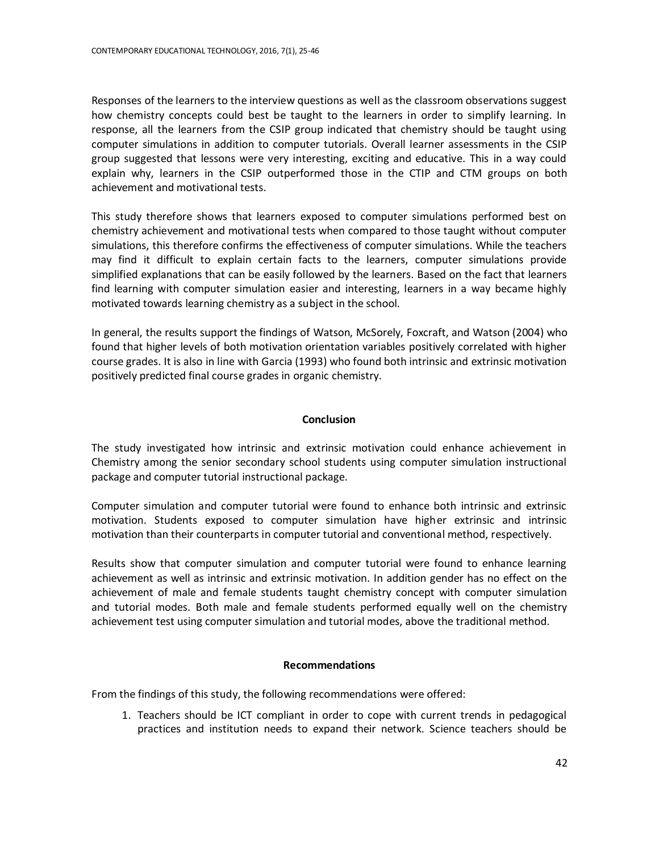Responses of the learners to the interview questions as well as the classroom observations suggest how chemistry concepts could best be taught to the learners in order to simplify learning. In response, all the learners from the CSIP group indicated that chemistry should be taught using computer simulations in addition to computer tutorials. Overall learner assessments in the CSIP group suggested that lessons were very interesting, exciting and educative. This in a way could explain why, learners in the CSIP outperformed those in the CTIP and CTM groups on both achievement and motivational tests.

This study therefore shows that learners exposed to computer simulations performed best on chemistry achievement and motivational tests when compared to those taught without computer simulations, this therefore confirms the effectiveness of computer simulations. While the teachers may find it difficult to explain certain facts to the learners, computer simulations provide simplified explanations that can be easily followed by the learners. Based on the fact that learners find learning with computer simulation easier and interesting, learners in a way became highly motivated towards learning chemistry as a subject in the school.

In general, the results support the findings of Watson, McSorely, Foxcraft, and Watson (2004) who found that higher levels of both motivation orientation variables positively correlated with higher course grades. It is also in line with Garcia (1993) who found both intrinsic and extrinsic motivation positively predicted final course grades in organic chemistry.

# **Conclusion**

The study investigated how intrinsic and extrinsic motivation could enhance achievement in Chemistry among the senior secondary school students using computer simulation instructional package and computer tutorial instructional package.

Computer simulation and computer tutorial were found to enhance both intrinsic and extrinsic motivation. Students exposed to computer simulation have higher extrinsic and intrinsic motivation than their counterparts in computer tutorial and conventional method, respectively.

Results show that computer simulation and computer tutorial were found to enhance learning achievement as well as intrinsic and extrinsic motivation. In addition gender has no effect on the achievement of male and female students taught chemistry concept with computer simulation and tutorial modes. Both male and female students performed equally well on the chemistry achievement test using computer simulation and tutorial modes, above the traditional method.

# **Recommendations**

From the findings of this study, the following recommendations were offered:

1. Teachers should be ICT compliant in order to cope with current trends in pedagogical practices and institution needs to expand their network. Science teachers should be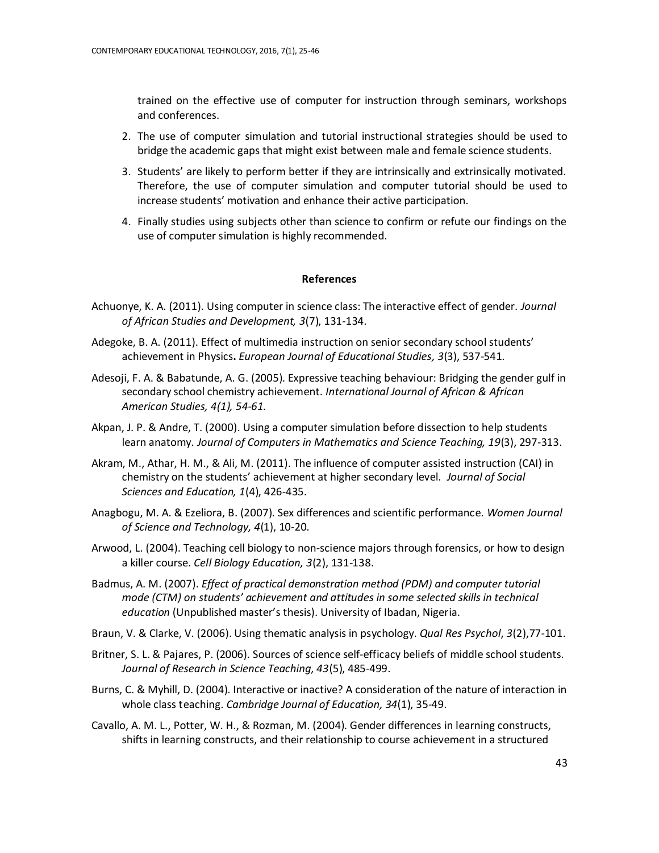trained on the effective use of computer for instruction through seminars, workshops and conferences.

- 2. The use of computer simulation and tutorial instructional strategies should be used to bridge the academic gaps that might exist between male and female science students.
- 3. Students' are likely to perform better if they are intrinsically and extrinsically motivated. Therefore, the use of computer simulation and computer tutorial should be used to increase students' motivation and enhance their active participation.
- 4. Finally studies using subjects other than science to confirm or refute our findings on the use of computer simulation is highly recommended.

## **References**

- Achuonye, K. A. (2011). Using computer in science class: The interactive effect of gender. *Journal of African Studies and Development, 3*(7), 131-134.
- Adegoke, B. A. (2011). Effect of multimedia instruction on senior secondary school students' achievement in Physics**.** *European Journal of Educational Studies, 3*(3), 537-541.
- Adesoji, F. A. & Babatunde, A. G. (2005). Expressive teaching behaviour: Bridging the gender gulf in secondary school chemistry achievement. *International Journal of African & African American Studies, 4(1), 54-61.*
- Akpan, J. P. & Andre, T. (2000). Using a computer simulation before dissection to help students learn anatomy. *Journal of Computers in Mathematics and Science Teaching, 19*(3), 297-313.
- Akram, M., Athar, H. M., & Ali, M. (2011). The influence of computer assisted instruction (CAI) in chemistry on the students' achievement at higher secondary level. *Journal of Social Sciences and Education, 1*(4), 426-435.
- Anagbogu, M. A. & Ezeliora, B. (2007). Sex differences and scientific performance. *Women Journal of Science and Technology, 4*(1), 10-20.
- Arwood, L. (2004). Teaching cell biology to non-science majors through forensics, or how to design a killer course. *Cell Biology Education, 3*(2), 131-138.
- Badmus, A. M. (2007). *Effect of practical demonstration method (PDM) and computer tutorial mode (CTM) on students' achievement and attitudes in some selected skills in technical education* (Unpublished master's thesis). University of Ibadan, Nigeria.
- Braun, V. & Clarke, V. (2006). Using thematic analysis in psychology. *Qual Res Psychol*, *3*(2),77-101.
- Britner, S. L. & Pajares, P. (2006). Sources of science self-efficacy beliefs of middle school students. *Journal of Research in Science Teaching, 43*(5), 485-499.
- Burns, C. & Myhill, D. (2004). Interactive or inactive? A consideration of the nature of interaction in whole class teaching. *Cambridge Journal of Education, 34*(1), 35-49.
- Cavallo, A. M. L., Potter, W. H., & Rozman, M. (2004). Gender differences in learning constructs, shifts in learning constructs, and their relationship to course achievement in a structured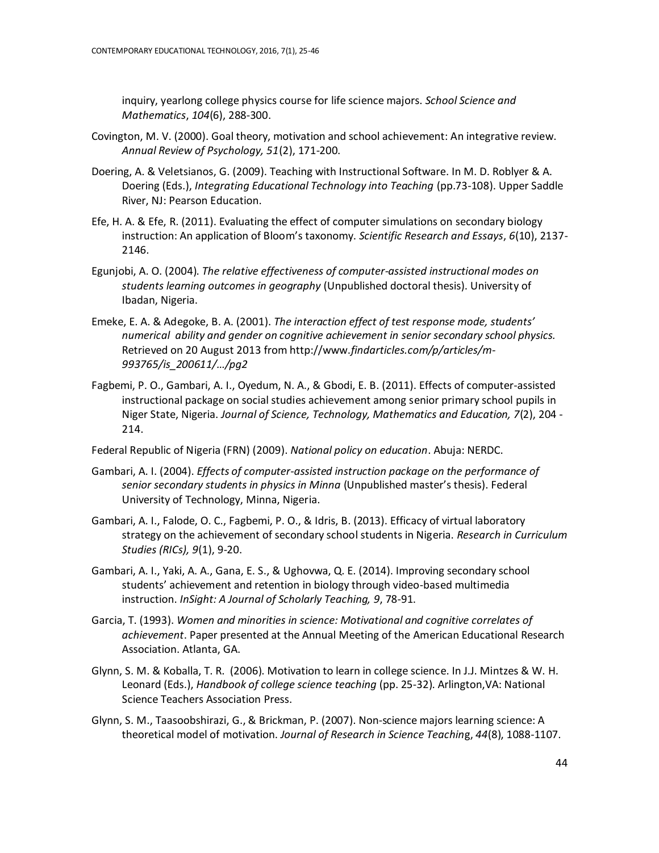inquiry, yearlong college physics course for life science majors. *School Science and Mathematics*, *104*(6), 288-300.

- Covington, M. V. (2000). Goal theory, motivation and school achievement: An integrative review. *Annual Review of Psychology, 51*(2), 171-200.
- Doering, A. & Veletsianos, G. (2009)[. Teaching with Instructional Software.](http://www.veletsianos.com/wp-content/uploads/2008/10/Doering_Veletsianos_Roblyer.pdf) In M. D. Roblyer & A. Doering (Eds.), *Integrating Educational Technology into Teaching* (pp.73-108). Upper Saddle River, NJ: Pearson Education.
- Efe, H. A. & Efe, R. (2011). Evaluating the effect of computer simulations on secondary biology instruction: An application of Bloom's taxonomy. *Scientific Research and Essays*, *6*(10), 2137- 2146.
- Egunjobi, A. O. (2004). *The relative effectiveness of computer-assisted instructional modes on students learning outcomes in geography* (Unpublished doctoral thesis). University of Ibadan, Nigeria.
- Emeke, E. A. & Adegoke, B. A. (2001). *The interaction effect of test response mode, students' numerical ability and gender on cognitive achievement in senior secondary school physics.* Retrieved on 20 August 2013 from http://www.*findarticles.com/p/articles/m-993765/is\_200611/…/pg2*
- Fagbemi, P. O., Gambari, A. I., Oyedum, N. A., & Gbodi, E. B. (2011). Effects of computer-assisted instructional package on social studies achievement among senior primary school pupils in Niger State, Nigeria. *Journal of Science, Technology, Mathematics and Education, 7*(2), 204 - 214.
- Federal Republic of Nigeria (FRN) (2009). *National policy on education*. Abuja: NERDC.
- Gambari, A. I. (2004). *Effects of computer-assisted instruction package on the performance of senior secondary students in physics in Minna* (Unpublished master's thesis). Federal University of Technology, Minna, Nigeria.
- Gambari, A. I., Falode, O. C., Fagbemi, P. O., & Idris, B. (2013). Efficacy of virtual laboratory strategy on the achievement of secondary school students in Nigeria. *Research in Curriculum Studies (RICs), 9*(1), 9-20.
- Gambari, A. I., Yaki, A. A., Gana, E. S., & Ughovwa, Q. E. (2014). Improving secondary school students' achievement and retention in biology through video-based multimedia instruction. *InSight: A Journal of Scholarly Teaching, 9*, 78-91.
- Garcia, T. (1993). *Women and minorities in science: Motivational and cognitive correlates of achievement*. Paper presented at the Annual Meeting of the American Educational Research Association. Atlanta, GA.
- Glynn, S. M. & Koballa, T. R. (2006). Motivation to learn in college science. In J.J. Mintzes & W. H. Leonard (Eds.), *Handbook of college science teaching* (pp. 25-32). Arlington,VA: National Science Teachers Association Press.
- Glynn, S. M., Taasoobshirazi, G., & Brickman, P. (2007). Non-science majors learning science: A theoretical model of motivation. *Journal of Research in Science Teachin*g, *44*(8), 1088-1107.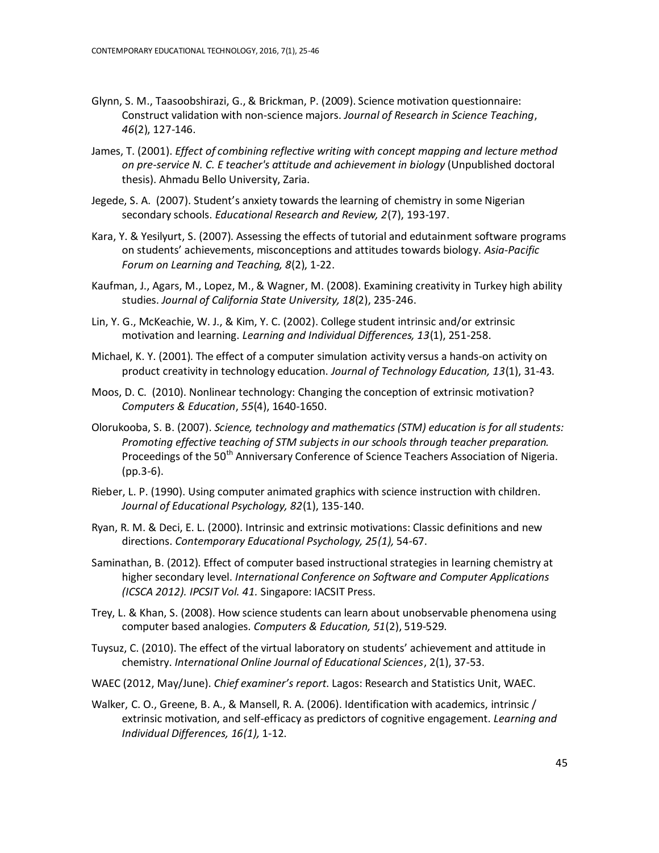- Glynn, S. M., Taasoobshirazi, G., & Brickman, P. (2009). Science motivation questionnaire: Construct validation with non-science majors. *Journal of Research in Science Teaching*, *46*(2), 127-146.
- James, T. (2001). *Effect of combining reflective writing with concept mapping and lecture method on pre-service N. C. E teacher's attitude and achievement in biology* (Unpublished doctoral thesis). Ahmadu Bello University, Zaria.
- Jegede, S. A. (2007). Student's anxiety towards the learning of chemistry in some Nigerian secondary schools. *Educational Research and Review, 2*(7), 193-197.
- Kara, Y. & Yesilyurt, S. (2007). Assessing the effects of tutorial and edutainment software programs on students' achievements, misconceptions and attitudes towards biology. *Asia-Pacific Forum on Learning and Teaching, 8*(2), 1-22.
- Kaufman, J., Agars, M., Lopez, M., & Wagner, M. (2008). Examining creativity in Turkey high ability studies. *Journal of California State University, 18*(2), 235-246.
- Lin, Y. G., McKeachie, W. J., & Kim, Y. C. (2002). College student intrinsic and/or extrinsic motivation and learning. *Learning and Individual Differences, 13*(1), 251-258.
- Michael, K. Y. (2001). The effect of a computer simulation activity versus a hands-on activity on product creativity in technology education. *Journal of Technology Education, 13*(1), 31-43.
- Moos, D. C. (2010). Nonlinear technology: Changing the conception of extrinsic motivation? *Computers & Education*, *55*(4), 1640-1650.
- Olorukooba, S. B. (2007). *Science, technology and mathematics (STM) education is for all students: Promoting effective teaching of STM subjects in our schools through teacher preparation.* Proceedings of the 50<sup>th</sup> Anniversary Conference of Science Teachers Association of Nigeria. (pp.3-6).
- Rieber, L. P. (1990). Using computer animated graphics with science instruction with children. *Journal of Educational Psychology, 82*(1), 135-140.
- Ryan, R. M. & Deci, E. L. (2000). Intrinsic and extrinsic motivations: Classic definitions and new directions. *Contemporary Educational Psychology, 25(1),* 54-67.
- Saminathan, B. (2012). Effect of computer based instructional strategies in learning chemistry at higher secondary level. *International Conference on Software and Computer Applications (ICSCA 2012). IPCSIT Vol. 41.* Singapore: IACSIT Press.
- Trey, L. & Khan, S. (2008). How science students can learn about unobservable phenomena using computer based analogies. *Computers & Education, 51*(2), 519-529.
- Tuysuz, C. (2010). The effect of the virtual laboratory on students' achievement and attitude in chemistry. *International Online Journal of Educational Sciences*, 2(1), 37-53.
- WAEC (2012, May/June). *Chief examiner's report*. Lagos: Research and Statistics Unit, WAEC.
- Walker, C. O., Greene, B. A., & Mansell, R. A. (2006). Identification with academics, intrinsic / extrinsic motivation, and self-efficacy as predictors of cognitive engagement. *Learning and Individual Differences, 16(1),* 1-12.